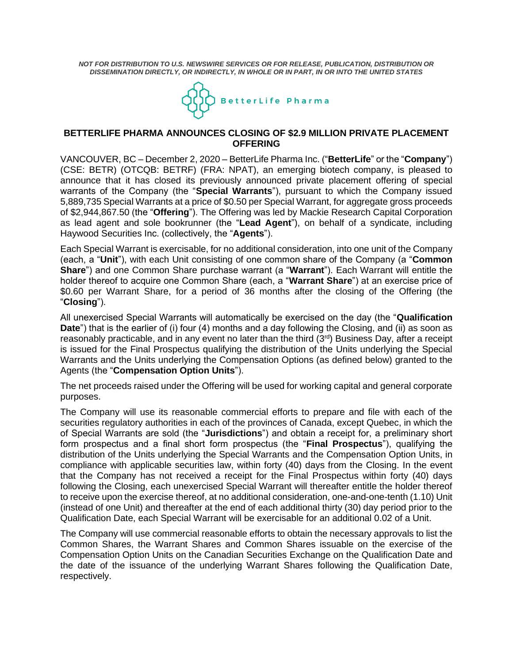*NOT FOR DISTRIBUTION TO U.S. NEWSWIRE SERVICES OR FOR RELEASE, PUBLICATION, DISTRIBUTION OR DISSEMINATION DIRECTLY, OR INDIRECTLY, IN WHOLE OR IN PART, IN OR INTO THE UNITED STATES*



## **BETTERLIFE PHARMA ANNOUNCES CLOSING OF \$2.9 MILLION PRIVATE PLACEMENT OFFERING**

VANCOUVER, BC – December 2, 2020 – BetterLife Pharma Inc. ("**BetterLife**" or the "**Company**") (CSE: BETR) (OTCQB: BETRF) (FRA: NPAT), an emerging biotech company, is pleased to announce that it has closed its previously announced private placement offering of special warrants of the Company (the "**Special Warrants**"), pursuant to which the Company issued 5,889,735 Special Warrants at a price of \$0.50 per Special Warrant, for aggregate gross proceeds of \$2,944,867.50 (the "**Offering**"). The Offering was led by Mackie Research Capital Corporation as lead agent and sole bookrunner (the "**Lead Agent**"), on behalf of a syndicate, including Haywood Securities Inc. (collectively, the "**Agents**").

Each Special Warrant is exercisable, for no additional consideration, into one unit of the Company (each, a "**Unit**"), with each Unit consisting of one common share of the Company (a "**Common Share**") and one Common Share purchase warrant (a "**Warrant**"). Each Warrant will entitle the holder thereof to acquire one Common Share (each, a "**Warrant Share**") at an exercise price of \$0.60 per Warrant Share, for a period of 36 months after the closing of the Offering (the "**Closing**").

All unexercised Special Warrants will automatically be exercised on the day (the "**Qualification Date**") that is the earlier of (i) four (4) months and a day following the Closing, and (ii) as soon as reasonably practicable, and in any event no later than the third (3rd) Business Day, after a receipt is issued for the Final Prospectus qualifying the distribution of the Units underlying the Special Warrants and the Units underlying the Compensation Options (as defined below) granted to the Agents (the "**Compensation Option Units**").

The net proceeds raised under the Offering will be used for working capital and general corporate purposes.

The Company will use its reasonable commercial efforts to prepare and file with each of the securities regulatory authorities in each of the provinces of Canada, except Quebec, in which the of Special Warrants are sold (the "**Jurisdictions**") and obtain a receipt for, a preliminary short form prospectus and a final short form prospectus (the "**Final Prospectus**"), qualifying the distribution of the Units underlying the Special Warrants and the Compensation Option Units, in compliance with applicable securities law, within forty (40) days from the Closing. In the event that the Company has not received a receipt for the Final Prospectus within forty (40) days following the Closing, each unexercised Special Warrant will thereafter entitle the holder thereof to receive upon the exercise thereof, at no additional consideration, one-and-one-tenth (1.10) Unit (instead of one Unit) and thereafter at the end of each additional thirty (30) day period prior to the Qualification Date, each Special Warrant will be exercisable for an additional 0.02 of a Unit.

The Company will use commercial reasonable efforts to obtain the necessary approvals to list the Common Shares, the Warrant Shares and Common Shares issuable on the exercise of the Compensation Option Units on the Canadian Securities Exchange on the Qualification Date and the date of the issuance of the underlying Warrant Shares following the Qualification Date, respectively.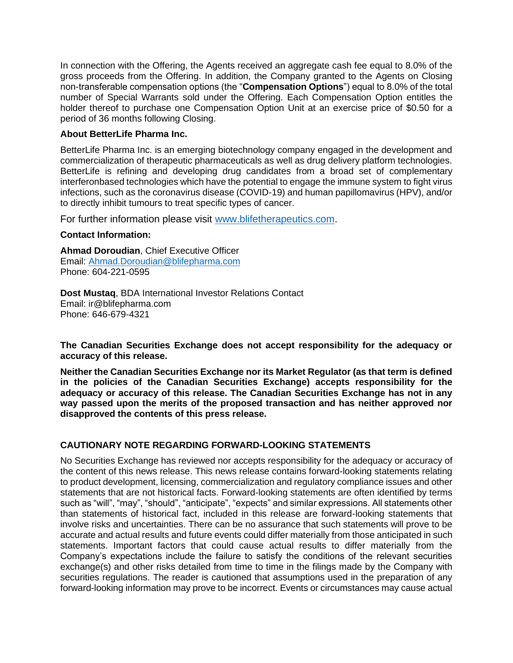In connection with the Offering, the Agents received an aggregate cash fee equal to 8.0% of the gross proceeds from the Offering. In addition, the Company granted to the Agents on Closing non-transferable compensation options (the "**Compensation Options**") equal to 8.0% of the total number of Special Warrants sold under the Offering. Each Compensation Option entitles the holder thereof to purchase one Compensation Option Unit at an exercise price of \$0.50 for a period of 36 months following Closing.

## **About BetterLife Pharma Inc.**

BetterLife Pharma Inc. is an emerging biotechnology company engaged in the development and commercialization of therapeutic pharmaceuticals as well as drug delivery platform technologies. BetterLife is refining and developing drug candidates from a broad set of complementary interferonbased technologies which have the potential to engage the immune system to fight virus infections, such as the coronavirus disease (COVID-19) and human papillomavirus (HPV), and/or to directly inhibit tumours to treat specific types of cancer.

For further information please visit [www.blifetherapeutics.com.](http://www.blifetherapeutics.com/)

## **Contact Information:**

**Ahmad Doroudian**, Chief Executive Officer Email: [Ahmad.Doroudian@blifepharma.com](mailto:Ahmad.Doroudian@blifepharma.com) Phone: 604-221-0595

**Dost Mustaq**, BDA International Investor Relations Contact Email: ir@blifepharma.com Phone: 646-679-4321

**The Canadian Securities Exchange does not accept responsibility for the adequacy or accuracy of this release.**

**Neither the Canadian Securities Exchange nor its Market Regulator (as that term is defined in the policies of the Canadian Securities Exchange) accepts responsibility for the adequacy or accuracy of this release. The Canadian Securities Exchange has not in any way passed upon the merits of the proposed transaction and has neither approved nor disapproved the contents of this press release.**

## **CAUTIONARY NOTE REGARDING FORWARD-LOOKING STATEMENTS**

No Securities Exchange has reviewed nor accepts responsibility for the adequacy or accuracy of the content of this news release. This news release contains forward-looking statements relating to product development, licensing, commercialization and regulatory compliance issues and other statements that are not historical facts. Forward-looking statements are often identified by terms such as "will", "may", "should", "anticipate", "expects" and similar expressions. All statements other than statements of historical fact, included in this release are forward-looking statements that involve risks and uncertainties. There can be no assurance that such statements will prove to be accurate and actual results and future events could differ materially from those anticipated in such statements. Important factors that could cause actual results to differ materially from the Company's expectations include the failure to satisfy the conditions of the relevant securities exchange(s) and other risks detailed from time to time in the filings made by the Company with securities regulations. The reader is cautioned that assumptions used in the preparation of any forward-looking information may prove to be incorrect. Events or circumstances may cause actual